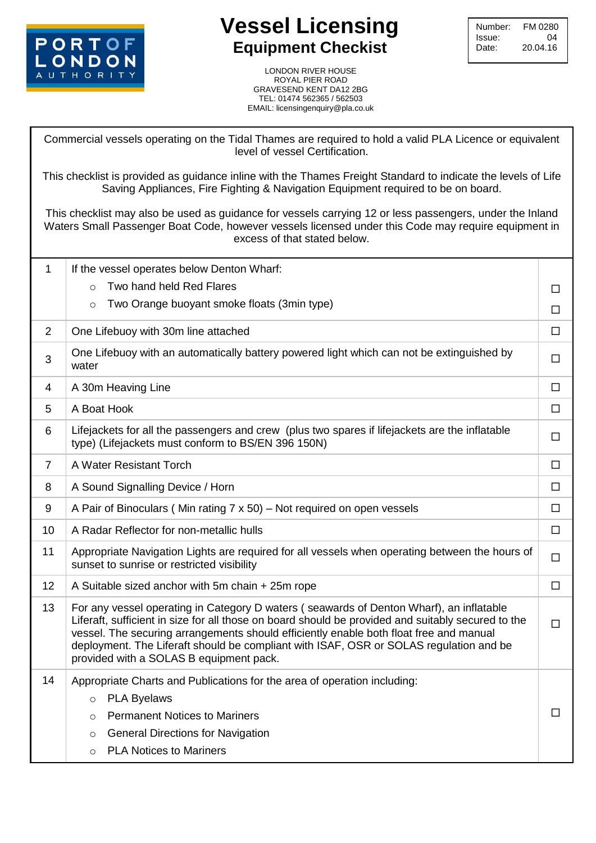

## **Vessel Licensing Equipment Checkist**

LONDON RIVER HOUSE ROYAL PIER ROAD ROYAL PIER ROAD<br>GRAVESEND KENT DA12 2BG<br>TEL: 01474 562365 / 562503 TEL: 01474 562365 / 562503 EMAIL: licensingenquiry@pla.co.uk

Commercial vessels operating on the Tidal Thames are required to hold a valid PLA Licence or equivalent level of vessel Certification.

This checklist is provided as guidance inline with the Thames Freight Standard to indicate the levels of Life Saving Appliances, Fire Fighting & Navigation Equipment required to be on board.

This checklist may also be used as guidance for vessels carrying 12 or less passengers, under the Inland Waters Small Passenger Boat Code, however vessels licensed under this Code may require equipment in excess of that stated below.

| 1              | If the vessel operates below Denton Wharf:                                                                                                                                                                                                                                                                                                                                                                                   |        |  |  |
|----------------|------------------------------------------------------------------------------------------------------------------------------------------------------------------------------------------------------------------------------------------------------------------------------------------------------------------------------------------------------------------------------------------------------------------------------|--------|--|--|
|                | Two hand held Red Flares<br>$\Omega$                                                                                                                                                                                                                                                                                                                                                                                         |        |  |  |
|                | Two Orange buoyant smoke floats (3min type)<br>$\circ$                                                                                                                                                                                                                                                                                                                                                                       | $\Box$ |  |  |
| $\overline{2}$ | One Lifebuoy with 30m line attached                                                                                                                                                                                                                                                                                                                                                                                          |        |  |  |
| 3              | One Lifebuoy with an automatically battery powered light which can not be extinguished by<br>water                                                                                                                                                                                                                                                                                                                           |        |  |  |
| 4              | A 30m Heaving Line                                                                                                                                                                                                                                                                                                                                                                                                           |        |  |  |
| 5              | A Boat Hook                                                                                                                                                                                                                                                                                                                                                                                                                  | $\Box$ |  |  |
| 6              | Lifejackets for all the passengers and crew (plus two spares if lifejackets are the inflatable<br>type) (Lifejackets must conform to BS/EN 396 150N)                                                                                                                                                                                                                                                                         |        |  |  |
| $\overline{7}$ | A Water Resistant Torch                                                                                                                                                                                                                                                                                                                                                                                                      |        |  |  |
| 8              | A Sound Signalling Device / Horn                                                                                                                                                                                                                                                                                                                                                                                             | □      |  |  |
| 9              | A Pair of Binoculars (Min rating 7 x 50) – Not required on open vessels                                                                                                                                                                                                                                                                                                                                                      | □      |  |  |
| 10             | A Radar Reflector for non-metallic hulls                                                                                                                                                                                                                                                                                                                                                                                     | $\Box$ |  |  |
| 11             | Appropriate Navigation Lights are required for all vessels when operating between the hours of<br>sunset to sunrise or restricted visibility                                                                                                                                                                                                                                                                                 | $\Box$ |  |  |
| 12             | A Suitable sized anchor with 5m chain + 25m rope                                                                                                                                                                                                                                                                                                                                                                             | □      |  |  |
| 13             | For any vessel operating in Category D waters (seawards of Denton Wharf), an inflatable<br>Liferaft, sufficient in size for all those on board should be provided and suitably secured to the<br>vessel. The securing arrangements should efficiently enable both float free and manual<br>deployment. The Liferaft should be compliant with ISAF, OSR or SOLAS regulation and be<br>provided with a SOLAS B equipment pack. |        |  |  |
| 14             | Appropriate Charts and Publications for the area of operation including:                                                                                                                                                                                                                                                                                                                                                     |        |  |  |
|                | <b>PLA Byelaws</b><br>$\circ$                                                                                                                                                                                                                                                                                                                                                                                                |        |  |  |
|                | <b>Permanent Notices to Mariners</b><br>$\circ$                                                                                                                                                                                                                                                                                                                                                                              | $\Box$ |  |  |
|                | <b>General Directions for Navigation</b><br>$\circ$                                                                                                                                                                                                                                                                                                                                                                          |        |  |  |
|                | <b>PLA Notices to Mariners</b><br>$\circ$                                                                                                                                                                                                                                                                                                                                                                                    |        |  |  |